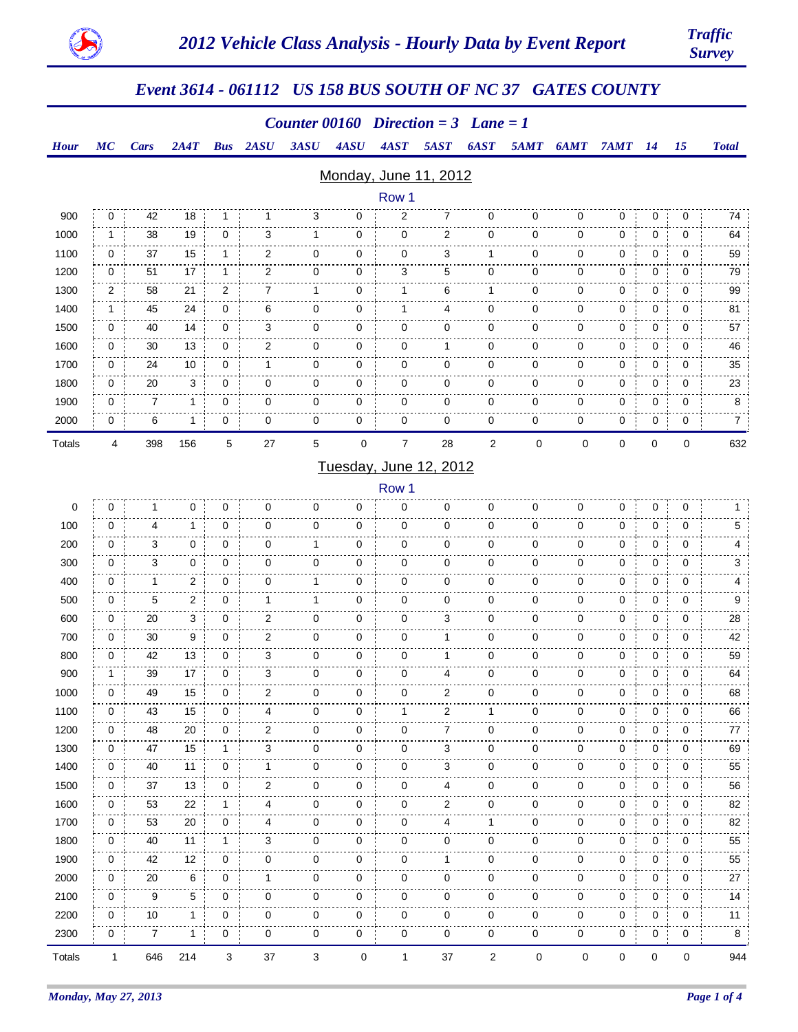

## *Event 3614 - 061112 US 158 BUS SOUTH OF NC 37 GATES COUNTY*

#### *Counter 00160 Direction = 3 Lane = 1*

#### *Hour Cars MC 2A4T Bus 2ASU 3ASU 4ASU 4AST 5AST 6AST 5AMT 6AMT 7AMT 14 15 Total*

#### Monday, June 11, 2012

|               | Row 1       |     |     |             |                |             |             |                |             |                |             |             |   |             |             |                     |
|---------------|-------------|-----|-----|-------------|----------------|-------------|-------------|----------------|-------------|----------------|-------------|-------------|---|-------------|-------------|---------------------|
| 900           | 0           | 42  | 18  |             |                | 3           | 0           | 2              | 7           | 0              | 0           | 0           | 0 | 0           | 0           | 74                  |
| 1000          |             | 38  | 19  | $\mathbf 0$ | 3              | 1           | 0           | 0              | 2           | 0              | $\mathbf 0$ | 0           | 0 | 0           | 0           | 64                  |
| 1100          | $\mathbf 0$ | 37  | 15  | 1           | $\overline{2}$ | $\mathbf 0$ | $\mathbf 0$ | 0              | 3           |                | 0           | 0           | 0 | $\mathbf 0$ | $\mathbf 0$ | 59                  |
| 1200          | 0           | 51  | 17  | 1           | $\overline{2}$ | $\mathbf 0$ | 0           | 3              | 5           | 0              | 0           | 0           | 0 | 0           | 0           | 79                  |
| 1300          | 2           | 58  | 21  | 2           |                | 1           | 0           |                | 6           |                | $\mathbf 0$ | 0           | 0 | 0           | 0           | 99                  |
| 1400          |             | 45  | 24  | 0           | 6              | 0           | 0           |                | 4           | 0              | $\mathbf 0$ | 0           | 0 | 0           | 0           | 81                  |
| 1500          | 0           | 40  | 14  | 0           | 3              | 0           | 0           | 0              | 0           | 0              | $\mathbf 0$ | 0           | 0 | 0           | 0           | 57                  |
| 1600          | 0           | 30  | 13  | $\mathbf 0$ | $\overline{2}$ | $\mathbf 0$ | 0           | 0              |             | 0              | 0           | 0           | 0 | 0           | 0           | 46                  |
| 1700          | 0           | 24  | 10  | 0           |                | $\mathbf 0$ | 0           | 0              | $\mathbf 0$ | 0              | 0           | $\mathbf 0$ | 0 | $\mathbf 0$ | 0           | 35                  |
| 1800          | 0           | 20  | 3   | 0           | 0              | $\mathbf 0$ | 0           | $\mathbf 0$    | 0           | 0              | 0           | 0           | 0 | 0           | 0           | 23                  |
| 1900          | 0           | 7   | 1   | 0           | 0              | 0           | 0           | 0              | 0           | 0              | 0           | 0           | 0 | 0           | 0           | 8                   |
| 2000          | 0           | 6   | 1   | 0           | 0              | 0           | 0           | 0              | 0           | 0              | 0           | 0           | 0 | 0           | 0           | 7<br>$\overline{1}$ |
| <b>Totals</b> | 4           | 398 | 156 | 5           | 27             | 5           | $\mathbf 0$ | $\overline{7}$ | 28          | $\overline{2}$ | 0           | 0           | 0 | 0           | 0           | 632                 |

#### Tuesday, June 12, 2012

Row 1

| Totals | 1            | 646            | 214            | 3            | 37             | 3           | $\mathbf 0$ | 1                     | 37             | $\overline{2}$ | $\mathbf 0$ | 0           | 0 | $\mathbf 0$ | $\Omega$    | 944 |
|--------|--------------|----------------|----------------|--------------|----------------|-------------|-------------|-----------------------|----------------|----------------|-------------|-------------|---|-------------|-------------|-----|
| 2300   | 0            | $\overline{7}$ | $\mathbf{1}$   | 0            | 0              | 0           | 0           | 0                     | $\mathbf 0$    | 0              | 0           | 0           | 0 | 0           | 0           | 8   |
| 2200   | 0            | 10             | $\mathbf{1}$   | 0            | 0              | 0           | 0           | 0                     | 0              | 0              | 0           | 0           | 0 | 0           | 0           | 11  |
| 2100   | 0            | 9              | 5              | 0            | 0              | $\mathbf 0$ | 0           | 0                     | 0              | 0              | 0           | 0           | 0 | 0           | 0           | 14  |
| 2000   | 0            | 20             | 6              | 0            | 1              | 0           | 0           | 0                     | $\mathbf 0$    | 0              | 0           | 0           | 0 | 0           | 0           | 27  |
| 1900   | $\mathbf 0$  | 42             | 12             | 0            | 0              | $\mathbf 0$ | 0           | $\mathbf 0$           | 1              | 0              | 0           | $\mathbf 0$ | 0 | $\mathbf 0$ | 0           | 55  |
| 1800   | $\mathbf 0$  | 40             | 11             | 1            | 3              | 0           | 0           | 0                     | $\mathbf 0$    | $\mathbf 0$    | 0           | $\mathbf 0$ | 0 | $\mathbf 0$ | 0           | 55  |
| 1700   | 0            | 53             | 20             | $\mathbf 0$  | 4              | $\mathbf 0$ | $\mathbf 0$ | 0                     | 4              | 1              | 0           | $\mathbf 0$ | 0 | $\mathbf 0$ | 0           | 82  |
| 1600   | 0            | 53             | 22             | $\mathbf{1}$ | 4              | $\mathbf 0$ | 0           | 0                     | 2              | $\mathbf 0$    | 0           | 0           | 0 | $\mathbf 0$ | 0           | 82  |
| 1500   | 0            | 37             | 13             | $\mathbf 0$  | $\overline{2}$ | $\mathbf 0$ | 0           | $\mathbf 0$           | 4              | $\mathbf 0$    | 0           | $\mathbf 0$ | 0 | $\mathbf 0$ | 0           | 56  |
| 1400   | $\mathbf 0$  | 40             | 11             | 0            | 1              | $\mathbf 0$ | $\mathbf 0$ | $\pmb{0}$             | 3              | $\mathbf 0$    | 0           | $\mathbf 0$ | 0 | $\mathbf 0$ | 0           | 55  |
| 1300   | $\mathbf 0$  | 47             | 15             | $\mathbf{1}$ | 3              | $\mathbf 0$ | 0           | 0                     | 3              | $\mathbf 0$    | 0           | 0           | 0 | $\mathbf 0$ | 0           | 69  |
| 1200   | $\mathbf 0$  | 48             | 20             | $\mathbf 0$  | 2              | $\mathbf 0$ | $\mathbf 0$ | $\mathbf 0$           | $\overline{7}$ | $\mathbf 0$    | 0           | 0           | 0 | $\mathbf 0$ | 0           | 77  |
| 1100   | $\mathbf{0}$ | 43             | 15             | $\mathbf 0$  | 4              | $\mathbf 0$ | $\mathbf 0$ | 1                     | $\overline{2}$ | 1              | 0           | $\mathbf 0$ | 0 | $\mathbf 0$ | 0           | 66  |
| 1000   | $\mathbf 0$  | 49             | 15             | $\mathbf{0}$ | $\overline{2}$ | $\mathbf 0$ | $\mathbf 0$ | 0                     | 2              | $\mathbf 0$    | 0           | $\mathbf 0$ | 0 | $\mathbf 0$ | $\mathbf 0$ | 68  |
| 900    | $\mathbf{1}$ | 39             | 17             | $\mathbf{0}$ | 3              | 0           | 0           | 0                     | 4              | 0              | 0           | 0           | 0 | 0           | 0           | 64  |
| 800    | 0            | 42             | 13             | 0            | 3              | 0           | 0           | 0                     | 1              | 0              | 0           | 0           | 0 | 0           | 0           | 59  |
| 700    | 0            | 30             | 9              | 0            | 2              | 0           | 0           | 0                     | 1              | 0              | 0           | 0           | 0 | 0           | 0           | 42  |
| 600    | 0            | 20             | 3              | 0            | 2              | 0           | 0           | 0                     | 3              | 0              | 0           | 0           | 0 | 0           | 0           | 28  |
| 500    | 0            | 5              | $\overline{2}$ | 0            | 1              | 1           | 0           | 0                     | $\mathbf 0$    | 0              | 0           | 0           | 0 | 0           | 0           | 9   |
| 400    | 0            | 1              | 2              | 0            | 0              | 1           | 0           | 0                     | 0              | 0              | 0           | 0           | 0 | 0           | 0           | 4   |
| 300    | 0            | 3              | 0              | 0            | 0              | 0           | 0           | 0                     | $\mathbf 0$    | 0              | 0           | 0           | 0 | 0           | 0           | 3   |
| 200    | 0            | 3              | 0              | 0            | 0              | 1           | 0           | 0                     | 0              | 0              | 0           | 0           | 0 | 0           | 0           | 4   |
| 100    | 0            | 4              | 1              | 0            | 0              | 0           | 0           | 0                     | 0              | 0              | 0           | 0           | 0 | $\mathbf 0$ | 0           | 5   |
| 0      | 0            | 1              | 0              | 0            | 0              | 0           | 0           | $110W +$<br>$\pmb{0}$ | 0              | 0              | 0           | $\mathbf 0$ | 0 | $\mathbf 0$ | 0           | 1   |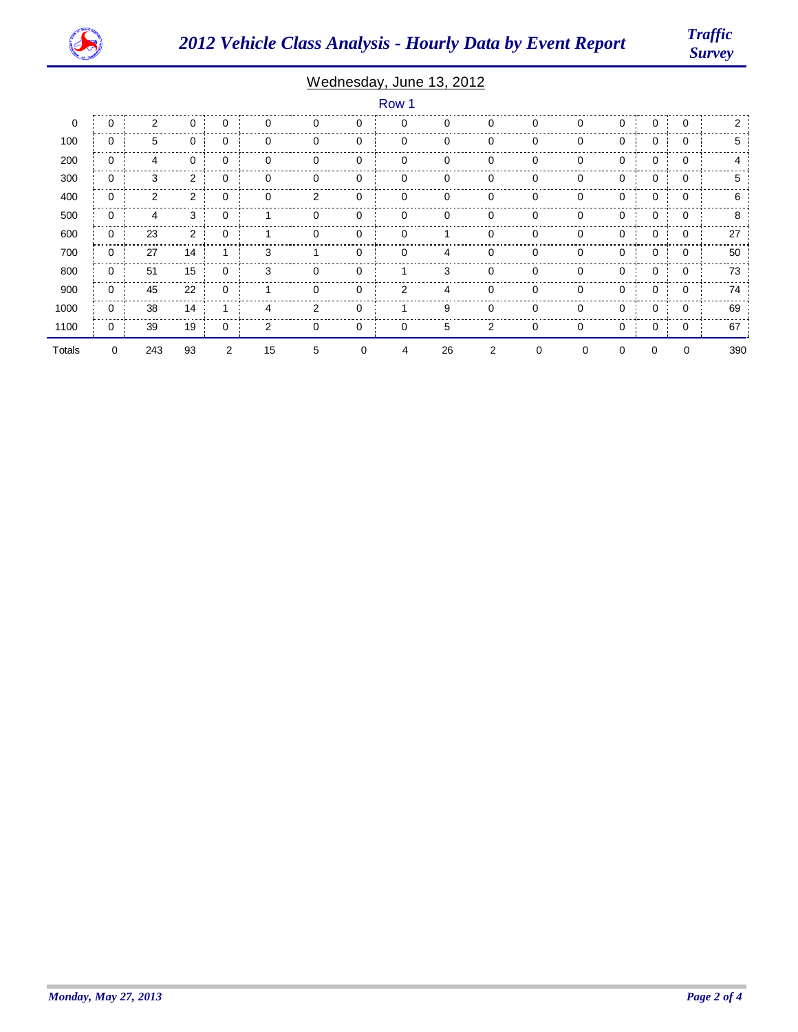

*Survey*

### Wednesday, June 13, 2012

|             |             |                |                |             |                |   |             | Row 1 |    |                |          |   |   |   |             |                |
|-------------|-------------|----------------|----------------|-------------|----------------|---|-------------|-------|----|----------------|----------|---|---|---|-------------|----------------|
| $\mathbf 0$ | $\mathbf 0$ | $\overline{2}$ | 0              | $\mathbf 0$ | $\mathbf 0$    | 0 | 0           | 0     | 0  | 0              | $\Omega$ | 0 | 0 | 0 | $\mathbf 0$ | $\overline{2}$ |
| 100         | 0           | 5              | 0              | 0           | 0              | 0 | 0           | 0     | 0  | 0              | 0        | 0 | 0 | 0 | 0           | 5              |
| 200         | 0           | $\overline{4}$ | 0              | $\mathbf 0$ | 0              | 0 | 0           | 0     | 0  | 0              | 0        | 0 | 0 | 0 | $\mathbf 0$ | 4              |
| 300         | 0           | 3              | 2              | 0           | $\mathbf 0$    | 0 | 0           | 0     | 0  | 0              | 0        | 0 | 0 | 0 | 0           | 5              |
| 400         | 0           | $\overline{2}$ | $\overline{2}$ | 0           | 0              | 2 | 0           | 0     | 0  | 0              | 0        | 0 | 0 | 0 | 0           | 6              |
| 500         | $\mathbf 0$ | 4              | 3              | 0           |                | 0 | 0           | 0     | 0  | 0              | 0        | 0 | 0 | 0 | 0           | 8              |
| 600         | 0           | 23             | 2              | $\mathbf 0$ |                | 0 | 0           | 0     |    | 0              | 0        | 0 | 0 | 0 | 0           | 27             |
| 700         | 0           | 27             | 14             |             | 3              | 1 | 0           | 0     | 4  | 0              | 0        | 0 | 0 | 0 | 0           | 50             |
| 800         | $\mathbf 0$ | 51             | 15             | $\mathbf 0$ | 3              | 0 | 0           |       | 3  | 0              | $\Omega$ | 0 | 0 | 0 | 0           | 73             |
| 900         | 0           | 45             | 22             | 0           |                | 0 | 0           | 2     | 4  | 0              | 0        | 0 | 0 | 0 | 0           | 74             |
| 1000        | 0           | 38             | 14             |             | 4              | 2 | 0           |       | 9  | 0              | 0        | 0 | 0 | 0 | 0           | 69             |
| 1100        | 0           | 39             | 19             | 0           | $\overline{2}$ | 0 | $\mathbf 0$ | 0     | 5  | $\overline{2}$ | 0        | 0 | 0 | 0 | 0           | 67             |
| Totals      | 0           | 243            | 93             | 2           | 15             | 5 | 0           | 4     | 26 | 2              | 0        | 0 | 0 | 0 | 0           | 390            |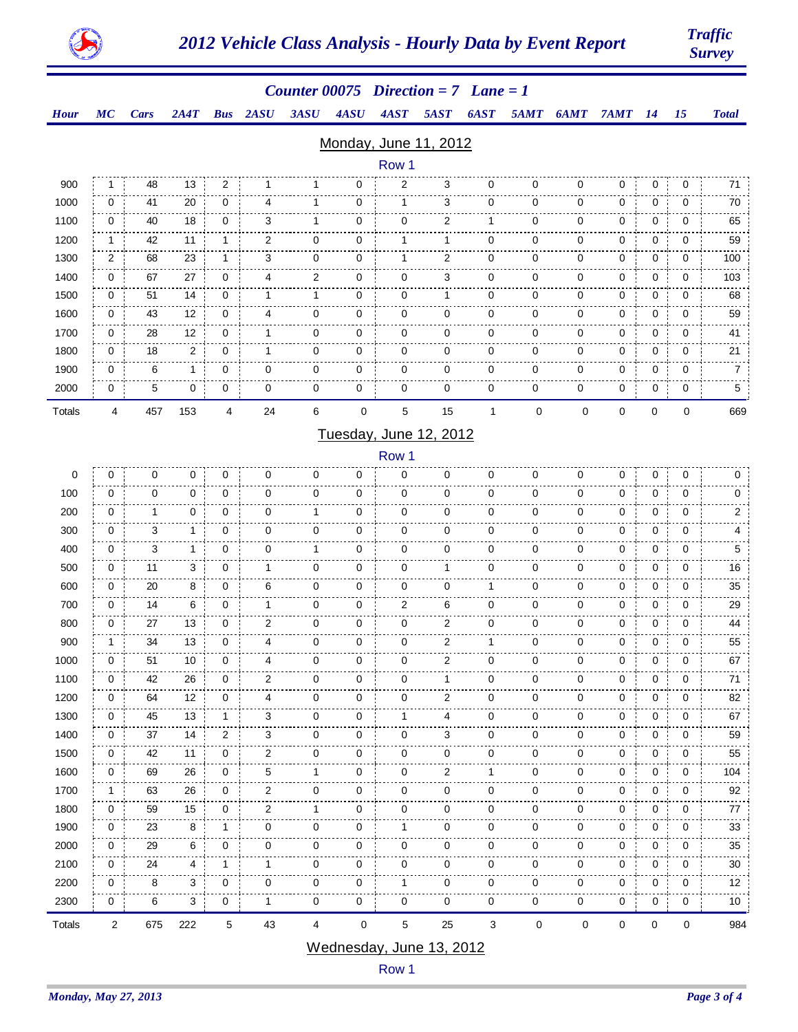

# *Survey*

|                        |                |             |              |                |                         | Counter 00075 Direction = $7$ Lane = 1 |               |                |                                |              |             |             |        |           |             |                 |
|------------------------|----------------|-------------|--------------|----------------|-------------------------|----------------------------------------|---------------|----------------|--------------------------------|--------------|-------------|-------------|--------|-----------|-------------|-----------------|
| <b>Hour</b>            | MC             | <b>Cars</b> | 2A4T         | <b>Bus</b>     | 2ASU                    | 3ASU                                   | 4ASU          | 4AST           | <b>5AST</b>                    | 6AST         | 5AMT        | 6AMT        | 7AMT   | <b>14</b> | 15          | <b>Total</b>    |
|                        |                |             |              |                |                         |                                        |               |                | Monday, June 11, 2012          |              |             |             |        |           |             |                 |
|                        |                |             |              |                |                         |                                        |               | Row 1          |                                |              |             |             |        |           |             |                 |
| 900                    | 1              | 48          | 13           | $\overline{2}$ |                         |                                        | 0             | 2              | 3                              | 0            | 0           | 0           | 0      | 0         | 0           | 71              |
| 1000                   | 0              | 41          | 20           | 0              | 4                       | 1                                      | 0             | 1              | 3                              | 0            | 0           | 0           | 0      | 0         | 0           | 70              |
| 1100                   | 0              | 40          | 18           | 0              | 3                       | 1                                      | 0             | 0              | 2                              | 1            | 0           | 0           | 0      | 0         | 0           | 65              |
| 1200                   | 1              | 42          | 11           | 1              | 2                       | 0                                      | 0             | 1              | 1                              | 0            | 0           | 0           | 0      | 0         | 0           | 59              |
| 1300                   | $\overline{c}$ | 68          | 23           | 1              | 3                       | 0                                      | 0             | 1              | 2                              | $\Omega$     | $\mathbf 0$ | 0           | 0      | 0         | 0           | 100             |
| 1400                   | 0              | 67          | 27           | 0              | 4                       | 2                                      | 0             | 0              | 3                              | 0            | 0           | 0           | 0      | 0         | 0           | 103             |
| 1500                   | 0              | 51          | 14           | 0              | 1                       | 1                                      | 0             | 0              | 1                              | 0            | 0           | 0           | 0      | 0         | 0           | 68              |
| 1600                   | 0              | 43          | 12           | 0              | 4                       | 0                                      | 0             | 0              | 0                              | 0            | 0           | 0           | 0      | 0         | 0           | 59              |
| 1700                   | 0              | 28          | 12           | 0              | 1                       | 0                                      | 0             | 0              | 0                              | 0            | 0           | 0           | 0      | 0         | 0           | 41              |
| 1800                   | 0              | 18          | 2            | 0              | 1                       | 0                                      | 0             | 0              | 0                              | 0            | 0           | 0           | 0      | 0         | 0           | 21              |
| 1900                   | 0              | 6           | $\mathbf{1}$ | 0              | 0                       | 0                                      | 0             | 0              | $\mathbf 0$                    | 0            | $\mathbf 0$ | 0           | 0      | 0         | 0           | $\overline{7}$  |
| 2000                   | 0              | 5           | 0            | 0              | 0                       | 0                                      | 0             | 0              | 0                              | 0            | 0           | 0           | 0      | 0         | 0           | 5 <sub>5</sub>  |
| Totals                 | 4              | 457         | 153          | $\overline{4}$ | 24                      | 6                                      | $\mathbf 0$   | 5              | 15                             | $\mathbf{1}$ | $\pmb{0}$   | 0           | 0      | $\pmb{0}$ | $\mathbf 0$ | 669             |
| Tuesday, June 12, 2012 |                |             |              |                |                         |                                        |               |                |                                |              |             |             |        |           |             |                 |
| Row 1                  |                |             |              |                |                         |                                        |               |                |                                |              |             |             |        |           |             |                 |
| 0                      | 0              | 0           | 0            | 0              | 0                       | 0                                      | 0             | 0              | 0                              | 0            | 0           | 0           | 0      | 0         | 0           | 0               |
| 100                    | 0              | 0           | 0            | 0              | 0                       | 0                                      | 0             | 0              | 0                              | 0            | 0           | 0           | 0      | 0         | 0           | 0               |
| 200                    | 0              | 1           | 0            | 0              | $\mathbf 0$             | 1                                      | 0             | 0              | 0                              | 0            | 0           | 0           | 0      | 0         | 0           | $\overline{2}$  |
| 300                    | 0              | 3           | 1            | 0              | 0                       | 0                                      | 0             | 0              | 0                              | 0            | 0           | 0           | 0      | 0         | 0           | 4               |
| 400                    | 0              | 3           | 1            | 0              | 0                       | 1                                      | 0             | 0              | 0                              | 0            | 0           | 0           | 0      | 0         | 0           | 5               |
| 500                    | 0              | 11          | 3            | 0              | 1                       | 0                                      | 0             | 0              | 1                              | 0            | 0           | 0           | 0      | 0         | 0           | 16              |
| 600                    | 0              | 20          | 8            | 0              | 6                       | 0                                      | 0             | 0              | 0                              | 1            | 0           | 0           | 0      | 0         | 0           | 35              |
| 700                    | 0              | 14          | 6            | 0              | 1                       | 0                                      | 0             | $\overline{2}$ | 6                              | 0            | 0           | 0           | 0      | $\pmb{0}$ | 0           | 29              |
| 800                    | 0              | 27          | 13           | 0              | 2                       | 0                                      | 0             | 0              | 2                              | 0            | 0           | 0           | 0      | 0         | 0           | 44              |
| 900                    | 1              | 34          | 13           | 0              | 4                       | 0                                      | 0             | 0              | 2                              | 1            | 0           | 0           | 0      | 0         | 0           | 55              |
| 1000                   | 0              | 51          | 10           | 0              | 4                       | 0                                      | 0             | 0              | 2                              | 0            | 0           | 0           | 0      | 0         | 0           | 67              |
| 1100                   | 0              | 42          | 26           | 0              | 2                       | 0                                      | 0             | 0              | 1                              | 0            | 0           | 0           | 0      | 0         | 0           | 71              |
| 1200                   | 0              | 64          | 12           | 0              | 4                       | 0                                      | 0             | 0              | 2                              | 0            | 0           | 0           | 0      | 0         | 0           | 82              |
| 1300                   | 0              | 45          | 13           | 1              | 3                       | 0                                      | 0             | 1              | 4                              | 0            | 0           | 0           | 0      | 0         | 0           | 67              |
| 1400                   | 0              | 37          | 14           | 2              | 3                       | 0                                      | 0             | 0              | 3                              | 0            | 0           | 0           | 0      | 0         | 0           | 59              |
| 1500                   | 0              | 42          | 11           | $\pmb{0}$      | $\overline{\mathbf{c}}$ | 0                                      | 0<br>.        | 0              | 0                              | 0            | 0           | 0           | 0      | $\pmb{0}$ | $\pmb{0}$   | 55              |
| 1600                   | 0              | 69          | 26           | 0              | 5                       | 1                                      | 0             | 0              | 2                              | 1            | 0           | 0           | 0      | 0         | 0           | 104             |
| 1700                   | 1              | 63          | 26           | 0              | 2                       | 0                                      | 0             | 0              | 0                              | 0            | 0           | 0           | 0      | 0         | 0           | 92              |
| 1800                   | 0              | 59          | 15           | 0              | 2                       | 1                                      | 0             | 0              | 0                              | 0            | 0           | 0           | 0      | 0         | 0           | 77              |
| 1900<br>2000           | 0              | 23<br>29    | 8            | $\mathbf{1}$   | 0                       | 0                                      | 0<br>0        | 1              | 0                              | 0            | 0           | 0           | 0      | 0         | 0           | 33              |
|                        | 0              |             | 6            | 0              | 0                       | 0                                      | $\frac{1}{2}$ | 0              | 0                              | 0            | 0           | 0           | 0      | 0         | $\pmb{0}$   | 35              |
| 2100<br>2200           | 0<br>0         | 24<br>8     | 4<br>3       | 1<br>0         | 1<br>0                  | 0<br>0                                 | 0<br>0        | 0<br>1         | 0<br>0                         | 0<br>0       | 0<br>0      | 0<br>0      | 0<br>0 | 0<br>0    | 0<br>0      | 30<br>12        |
| 2300                   | 0              | 6           | 3            | $\mathbf 0$    | $\mathbf{1}$            | 0                                      | 0             | 0              | 0                              | 0            | 0           | 0           | 0      | 0         | 0           | 10 <sup>°</sup> |
|                        |                |             |              |                |                         |                                        |               |                |                                |              |             |             |        |           |             |                 |
| Totals                 | 2              | 675         | 222          | $\mathbf 5$    | 43                      | 4                                      | $\pmb{0}$     | 5              | 25<br>Modnosday, June 13, 2012 | 3            | 0           | $\mathbf 0$ | 0      | $\pmb{0}$ | $\pmb{0}$   | 984             |

#### Wednesday, June 13, 2012